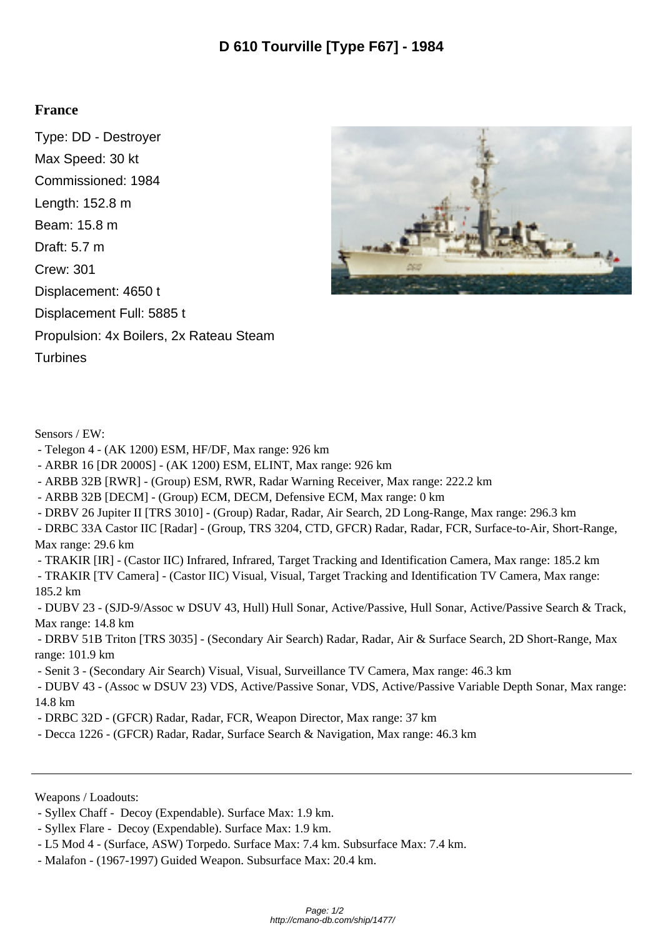## **France**

Type: DD - Destroyer Max Speed: 30 kt Commissioned: 1984 Length: 152.8 m Beam: 15.8 m Draft: 5.7 m Crew: 301 Displacement: 4650 t Displacement Full: 5885 t Propulsion: 4x Boilers, 2x Rateau Steam **Turbines** 



Sensors / EW:

- Telegon 4 (AK 1200) ESM, HF/DF, Max range: 926 km
- ARBR 16 [DR 2000S] (AK 1200) ESM, ELINT, Max range: 926 km
- ARBB 32B [RWR] (Group) ESM, RWR, Radar Warning Receiver, Max range: 222.2 km
- ARBB 32B [DECM] (Group) ECM, DECM, Defensive ECM, Max range: 0 km
- DRBV 26 Jupiter II [TRS 3010] (Group) Radar, Radar, Air Search, 2D Long-Range, Max range: 296.3 km

 - DRBC 33A Castor IIC [Radar] - (Group, TRS 3204, CTD, GFCR) Radar, Radar, FCR, Surface-to-Air, Short-Range, Max range: 29.6 km

- TRAKIR [IR] - (Castor IIC) Infrared, Infrared, Target Tracking and Identification Camera, Max range: 185.2 km

 - TRAKIR [TV Camera] - (Castor IIC) Visual, Visual, Target Tracking and Identification TV Camera, Max range: 185.2 km

 - DUBV 23 - (SJD-9/Assoc w DSUV 43, Hull) Hull Sonar, Active/Passive, Hull Sonar, Active/Passive Search & Track, Max range: 14.8 km

 - DRBV 51B Triton [TRS 3035] - (Secondary Air Search) Radar, Radar, Air & Surface Search, 2D Short-Range, Max range: 101.9 km

- Senit 3 - (Secondary Air Search) Visual, Visual, Surveillance TV Camera, Max range: 46.3 km

 - DUBV 43 - (Assoc w DSUV 23) VDS, Active/Passive Sonar, VDS, Active/Passive Variable Depth Sonar, Max range: 14.8 km

- DRBC 32D (GFCR) Radar, Radar, FCR, Weapon Director, Max range: 37 km
- Decca 1226 (GFCR) Radar, Radar, Surface Search & Navigation, Max range: 46.3 km

Weapons / Loadouts:

- Malafon - (1967-1997) Guided Weapon. Subsurface Max: 20.4 km.

 <sup>-</sup> Syllex Chaff - Decoy (Expendable). Surface Max: 1.9 km.

 <sup>-</sup> Syllex Flare - Decoy (Expendable). Surface Max: 1.9 km.

 <sup>-</sup> L5 Mod 4 - (Surface, ASW) Torpedo. Surface Max: 7.4 km. Subsurface Max: 7.4 km.